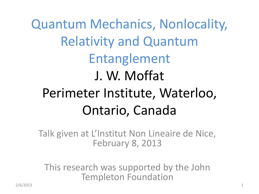Quantum Mechanics, Nonlocality, Relativity and Quantum Entanglement J. W. Moffat Perimeter Institute, Waterloo, Ontario, Canada

Talk given at L'Institut Non Lineaire de Nice, February 8, 2013

This research was supported by the John Templeton Foundation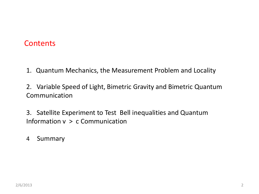## **Contents**

- 1. Quantum Mechanics, the Measurement Problem and Locality
- 2. Variable Speed of Light, Bimetric Gravity and Bimetric Quantum Communication
- 3. Satellite Experiment to Test Bell inequalities and Quantum Information v > c Communication
- 4 Summary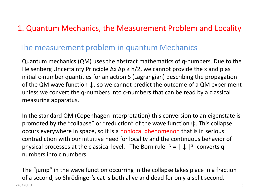# 1. Quantum Mechanics, the Measurement Problem and Locality

## The measurement problem in quantum Mechanics

Quantum mechanics (QM) uses the abstract mathematics of q-numbers. Due to the Heisenberg Uncertainty Principle  $\Delta x \Delta p \ge h/2$ , we cannot provide the x and p as initial c-number quantities for an action S (Lagrangian) describing the propagation of the QM wave function  $\psi$ , so we cannot predict the outcome of a QM experiment unless we convert the q-numbers into c-numbers that can be read by a classical measuring apparatus.

In the standard QM (Copenhagen interpretation) this conversion to an eigenstate is promoted by the "collapse" or "reduction" of the wave function ψ. This collapse occurs everywhere in space, so it is a nonlocal phenomenon that is in serious contradiction with our intuitive need for locality and the continuous behavior of physical processes at the classical level. The Born rule  $P = |\psi|^{2}$  converts q numbers into c numbers.

The "jump" in the wave function occurring in the collapse takes place in a fraction of a second, so Shrödinger's cat is both alive and dead for only a split second. 2/6/2013 3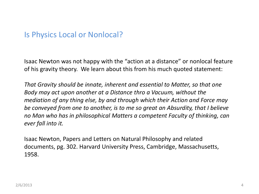### Is Physics Local or Nonlocal?

Isaac Newton was not happy with the "action at a distance" or nonlocal feature of his gravity theory. We learn about this from his much quoted statement:

*That Gravity should be innate, inherent and essential to Matter, so that one Body may act upon another at a Distance thro a Vacuum, without the mediation of any thing else, by and through which their Action and Force may be conveyed from one to another, is to me so great an Absurdity, that I believe no Man who has in philosophical Matters a competent Faculty of thinking, can ever fall into it.* 

Isaac Newton, Papers and Letters on Natural Philosophy and related documents, pg. 302. Harvard University Press, Cambridge, Massachusetts, 1958.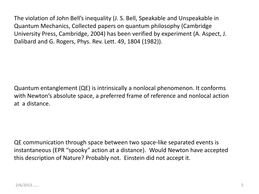The violation of John Bell's inequality (J. S. Bell, Speakable and Unspeakable in Quantum Mechanics, Collected papers on quantum philosophy (Cambridge University Press, Cambridge, 2004) has been verified by experiment (A. Aspect, J. Dalibard and G. Rogers, Phys. Rev. Lett. 49, 1804 (1982)).

Quantum entanglement (QE) is intrinsically a nonlocal phenomenon. It conforms with Newton's absolute space, a preferred frame of reference and nonlocal action at a distance.

QE communication through space between two space-like separated events is instantaneous (EPR "spooky" action at a distance). Would Newton have accepted this description of Nature? Probably not. Einstein did not accept it.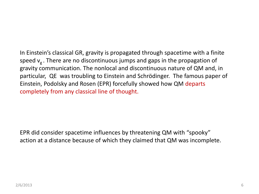In Einstein's classical GR, gravity is propagated through spacetime with a finite speed  $v<sub>g</sub>$ . There are no discontinuous jumps and gaps in the propagation of gravity communication. The nonlocal and discontinuous nature of QM and, in particular, QE was troubling to Einstein and Schrödinger. The famous paper of Einstein, Podolsky and Rosen (EPR) forcefully showed how QM departs completely from any classical line of thought.

EPR did consider spacetime influences by threatening QM with "spooky" action at a distance because of which they claimed that QM was incomplete.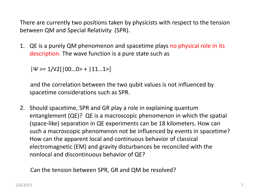There are currently two positions taken by physicists with respect to the tension between QM and Special Relativity (SPR).

1. QE is a purely QM phenomenon and spacetime plays no physical role in its description. The wave function is a pure state such as

 $|\Psi \rangle = 1/\sqrt{2}$ [ $|00...0 \rangle + |11...1 \rangle$ ]

 and the correlation between the two qubit values is not influenced by spacetime considerations such as SPR.

2. Should spacetime, SPR and GR play a role in explaining quantum entanglement (QE)? QE is a macroscopic phenomenon in which the spatial (space-like) separation in QE experiments can be 18 kilometers. How can such a macroscopic phenomenon not be influenced by events in spacetime? How can the apparent local and continuous behavior of classical electromagnetic (EM) and gravity disturbances be reconciled with the nonlocal and discontinuous behavior of QE?

Can the tension between SPR, GR and QM be resolved?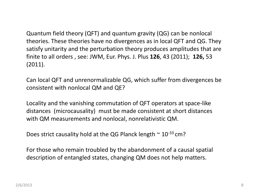Quantum field theory (QFT) and quantum gravity (QG) can be nonlocal theories. These theories have no divergences as in local QFT and QG. They satisfy unitarity and the perturbation theory produces amplitudes that are finite to all orders , see: JWM, Eur. Phys. J. Plus **126**, 43 (2011); **126,** 53 (2011).

Can local QFT and unrenormalizable QG, which suffer from divergences be consistent with nonlocal QM and QE?

Locality and the vanishing commutation of QFT operators at space-like distances (microcausality) must be made consistent at short distances with QM measurements and nonlocal, nonrelativistic QM.

Does strict causality hold at the QG Planck length  $\sim 10^{-33}$  cm?

For those who remain troubled by the abandonment of a causal spatial description of entangled states, changing QM does not help matters.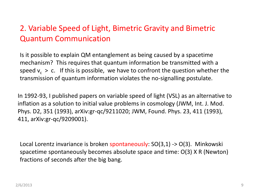# 2. Variable Speed of Light, Bimetric Gravity and Bimetric Quantum Communication

Is it possible to explain QM entanglement as being caused by a spacetime mechanism? This requires that quantum information be transmitted with a speed  $v_c > c$ . If this is possible, we have to confront the question whether the transmission of quantum information violates the no-signalling postulate.

In 1992-93, I published papers on variable speed of light (VSL) as an alternative to inflation as a solution to initial value problems in cosmology (JWM, Int. J. Mod. Phys. D2, 351 (1993), arXiv:gr-qc/9211020; JWM, Found. Phys. 23, 411 (1993), 411, arXiv:gr-qc/9209001).

Local Lorentz invariance is broken spontaneously: SO(3,1) -> O(3). Minkowski spacetime spontaneously becomes absolute space and time: O(3) X R (Newton) fractions of seconds after the big bang.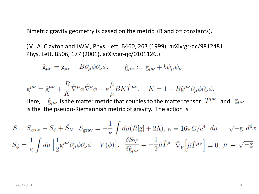Bimetric gravity geometry is based on the metric (B and b= constants).

(M. A. Clayton and JWM, Phys. Lett. B460, 263 (1999), arXiv:gr-qc/9812481; Phys. Lett. B506, 177 (2001), arXiv:gr-qc/0101126.)

 $\hat{g}_{\mu\nu} = g_{\mu\nu} + B \partial_{\mu} \phi \partial_{\nu} \phi$ .  $\hat{g}_{\mu\nu} := g_{\mu\nu} + b \psi_{\mu} \psi_{\nu}$ .

$$
\overline{g}^{\mu\nu} = \hat{g}^{\mu\nu} + \frac{B}{K} \hat{\nabla}^{\mu} \phi \hat{\nabla}^{\nu} \phi - \kappa \frac{\hat{\mu}}{\mu} B K \hat{T}^{\mu\nu} \qquad K = 1 - B \hat{g}^{\mu\nu} \partial_{\mu} \phi \partial_{\nu} \phi.
$$
  
Here,  $\hat{g}_{\mu\nu}$  is the matter metric that couples to the matter tensor  $\hat{T}^{\mu\nu}$  and  $g_{\mu\nu}$  is the pseudo-Riemannian metric of gravity. The action is

$$
S = S_{\text{grav}} + S_{\phi} + \hat{S}_{\text{M}}, \ S_{\text{grav}} = -\frac{1}{\kappa} \int d\mu (R[\mathbf{g}] + 2\Lambda), \ \kappa = 16\pi G/c^4 \ d\mu = \sqrt{-\mathbf{g}} \ d^4x
$$

$$
S_{\phi} = \frac{1}{\kappa} \int d\mu \left[ \frac{1}{2} \mathbf{g}^{\mu\nu} \partial_{\mu}\phi \partial_{\nu}\phi - V(\phi) \right], \ \ \frac{\delta S_{\text{M}}}{\delta \hat{\mathbf{g}}_{\mu\nu}} = -\frac{1}{2} \hat{\mu} \hat{T}^{\mu} \ \hat{\nabla}_{\nu} \left[ \hat{\mu} \hat{T}^{\mu\nu} \right] = 0, \ \mu = \sqrt{-\mathbf{g}}:
$$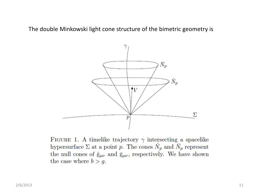The double Minkowski light cone structure of the bimetric geometry is



FIGURE 1. A timelike trajectory  $\gamma$  intersecting a spacelike hypersurface  $\Sigma$  at a point p. The cones  $\hat{N}_p$  and  $\bar{N}_p$  represent the null cones of  $\hat{g}_{\mu\nu}$  and  $\bar{g}_{\mu\nu}$ , respectively. We have shown the case where  $b > g$ .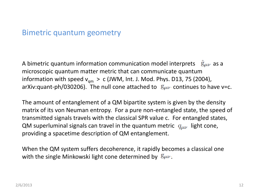#### Bimetric quantum geometry

A bimetric quantum information communication model interprets  $\hat{g}_{\mu\nu}$  as a microscopic quantum matter metric that can communicate quantum information with speed  $v_{qm} > c$  (JWM, Int. J. Mod. Phys. D13, 75 (2004), arXiv:quant-ph/030206). The null cone attached to  $g_{\mu\nu}$  continues to have v=c.

The amount of entanglement of a QM bipartite system is given by the density matrix of its von Neuman entropy. For a pure non-entangled state, the speed of transmitted signals travels with the classical SPR value c. For entangled states, QM superluminal signals can travel in the quantum metric  $q_{\mu\nu}$  light cone, providing a spacetime description of QM entanglement.

When the QM system suffers decoherence, it rapidly becomes a classical one with the single Minkowski light cone determined by  $g_{\mu\nu}$ .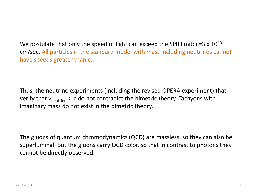We postulate that only the speed of light can exceed the SPR limit:  $c=3 \times 10^{10}$ cm/sec. All particles in the standard model with mass including neutrinos cannot have speeds greater than c.

Thus, the neutrino experiments (including the revised OPERA experiment) that verify that  $v_{neutrino}$  < c do not contradict the bimetric theory. Tachyons with imaginary mass do not exist in the bimetric theory.

The gluons of quantum chromodynamics (QCD) are massless, so they can also be superluminal. But the gluons carry QCD color, so that in contrast to photons they cannot be directly observed.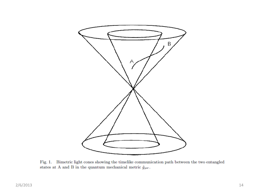

Fig. 1. Bimetric light cones showing the timelike communication path between the two entangled states at A and B in the quantum mechanical metric  $\hat{g}_{\mu\nu}$ .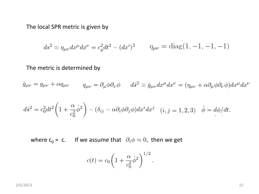The local SPR metric is given by

$$
ds^{2} \equiv \eta_{\mu\nu} dx^{\mu} dx^{\nu} = c_{g}^{2} dt^{2} - (dx^{i})^{2} \qquad \eta_{\mu\nu} = \text{diag}(1, -1, -1, -1)
$$

The metric is determined by

 $\hat{g}_{\mu\nu}=g_{\mu\nu}+\alpha q_{\mu\nu}\qquad q_{\mu\nu}=\partial_{\mu}\phi\partial_{\nu}\phi\qquad d\hat{s}^2\equiv \hat{g}_{\mu\nu}dx^{\mu}dx^{\nu}=(\eta_{\mu\nu}+\alpha\partial_{\mu}\phi\partial_{\nu}\phi)dx^{\mu}dx^{\nu}$ 

$$
d\hat{s}^2 = c_0^2 dt^2 \left( 1 + \frac{\alpha}{c_0^2} \dot{\phi}^2 \right) - (\delta_{ij} - \alpha \partial_i \phi \partial_j \phi) dx^i dx^j \quad (i, j = 1, 2, 3) \quad \dot{\phi} = d\phi/dt.
$$

where  $c_0 = c$ . If we assume that  $\partial_i \phi \approx 0$ , then we get

$$
c(t) = c_0 \left( 1 + \frac{\alpha}{c_0^2} \dot{\phi}^2 \right)^{1/2}.
$$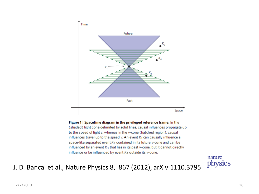

Figure 1 | Spacetime diagram in the privileged reference frame. In the (shaded) light cone delimited by solid lines, causal influences propagate up to the speed of light c, whereas in the v-cone (hatched region), causal influences travel up to the speed v. An event  $K_1$  can causally influence a space-like separated event K<sub>2</sub> contained in its future v-cone and can be influenced by an event  $K_3$  that lies in its past v-cone, but it cannot directly influence or be influenced by event  $K_4$  outside its v-cone.

nature physics

#### J. D. Bancal et al., Nature Physics 8, 867 (2012), arXiv:1110.3795.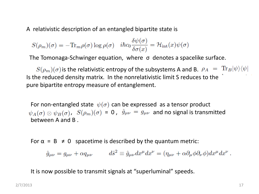A relativistic description of an entangled bipartite state is

$$
S(\rho_m)(\sigma) = -\text{Tr}_m \rho(\sigma) \log \rho(\sigma) \quad i\hbar c_0 \frac{\delta \psi(\sigma)}{\delta \sigma(x)} = \mathcal{H}_{\text{int}}(x)\psi(\sigma)
$$

The Tomonaga-Schwinger equation, where σ denotes a spacelike surface.

 $S(\rho_m)(\sigma)$  is the relativistic entropy of the subsystems A and B.  $\rho_A = \text{Tr}_B |\psi\rangle\langle\psi|$ Is the reduced density matrix. In the nonrelativistic limit S reduces to the pure bipartite entropy measure of entanglement.

For non-entangled state  $\psi(\sigma)$  can be expressed as a tensor product  $\psi_A(\sigma) \otimes \psi_B(\sigma)$ ,  $S(\rho_m)(\sigma) = 0$ ,  $\hat{g}_{\mu\nu} = g_{\mu\nu}$  and no signal is transmitted between A and B .

For  $\alpha = B \neq 0$  spacetime is described by the quantum metric:

$$
\hat{g}_{\mu\nu} = g_{\mu\nu} + \alpha q_{\mu\nu} \qquad d\hat{s}^2 \equiv \hat{g}_{\mu\nu} dx^{\mu} dx^{\nu} = (\eta_{\mu\nu} + \alpha \partial_{\mu} \phi \partial_{\nu} \phi) dx^{\mu} dx^{\nu} .
$$

It is now possible to transmit signals at "superluminal" speeds.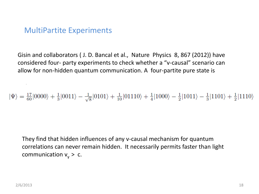## MultiPartite Experiments

Gisin and collaborators ( J. D. Bancal et al., Nature Physics 8, 867 (2012)) have considered four- party experiments to check whether a "v-causal" scenario can allow for non-hidden quantum communication. A four-partite pure state is

 $|\Psi\rangle = \frac{17}{60}|0000\rangle + \frac{1}{3}|0011\rangle - \frac{1}{\sqrt{8}}|0101\rangle + \frac{1}{10}|01110\rangle + \frac{1}{4}|1000\rangle - \frac{1}{2}|1011\rangle - \frac{1}{3}|1101\rangle + \frac{1}{2}|1110\rangle$ 

They find that hidden influences of any v-causal mechanism for quantum correlations can never remain hidden. It necessarily permits faster than light communication  $v_y > c$ .

system: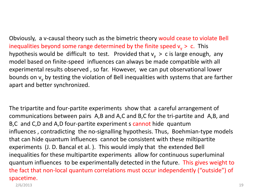Obviously, a v-causal theory such as the bimetric theory would cease to violate Bell inequalities beyond some range determined by the finite speed  $v_v > c$ . This hypothesis would be difficult to test. Provided that  $v_y > c$  is large enough, any model based on finite-speed influences can always be made compatible with all experimental results observed , so far. However, we can put observational lower bounds on  $v_y$  by testing the violation of Bell inequalities with systems that are farther apart and better synchronized.

The tripartite and four-partite experiments show that a careful arrangement of communications between pairs A,B and A,C and B,C for the tri-partite and A,B, and B,C and C,D and A,D four-partite experiment s cannot hide quantum influences , contradicting the no-signalling hypothesis. Thus, Boehmian-type models that can hide quantum influences cannot be consistent with these miltipartite experiments (J. D. Bancal et al. ). This would imply that the extended Bell inequalities for these multipartite experiments allow for continuous superluminal quantum influences to be experimentally detected in the future. This gives weight to the fact that non-local quantum correlations must occur independently ("outside") of spacetime.

2/6/2013 19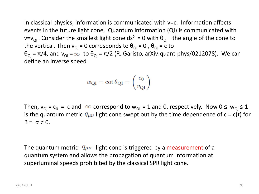In classical physics, information is communicated with v=c. Information affects events in the future light cone. Quantum information (QI) is communicated with  $v=v_{\text{QI}}$ . Consider the smallest light cone ds<sup>2</sup> = 0 with  $\theta_{\text{QI}}$  the angle of the cone to the vertical. Then  $v_{QI} = 0$  corresponds to  $\theta_{QI} = 0$ ,  $\theta_{QI} = c$  to  $\theta_{\text{QI}} = \pi/4$ , and  $v_{\text{QI}} = \infty$  to  $\theta_{\text{QI}} = \pi/2$  (R. Garisto, arXiv:quant-phys/0212078). We can define an inverse speed

$$
w_{\rm QI} = \cot \theta_{\rm QI} = \left(\frac{c_0}{v_{\rm QI}}\right)
$$

Then,  $v_{QI}$  =  $c_0$  = c and  $\infty$  correspond to  $w_{QI}$  = 1 and 0, respectively. Now 0  $\leq w_{QI} \leq 1$ is the quantum metric  $q_{\mu\nu}$  light cone swept out by the time dependence of c = c(t) for  $B = \alpha \neq 0$ .

The quantum metric  $q_{\mu\nu}$  light cone is triggered by a measurement of a quantum system and allows the propagation of quantum information at superluminal speeds prohibited by the classical SPR light cone.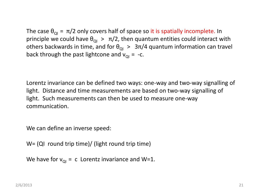The case  $\theta_{\text{OI}} = \pi/2$  only covers half of space so it is spatially incomplete. In principle we could have  $\theta_{\text{QI}} > \pi/2$ , then quantum entities could interact with others backwards in time, and for  $\theta_{\text{ol}} > 3\pi/4$  quantum information can travel back through the past lightcone and  $v_{\text{O}I}$  = -c.

Lorentz invariance can be defined two ways: one-way and two-way signalling of light. Distance and time measurements are based on two-way signalling of light. Such measurements can then be used to measure one-way communication.

We can define an inverse speed:

W= (QI round trip time)/ (light round trip time)

We have for  $v_{\text{o}i}$  = c Lorentz invariance and W=1.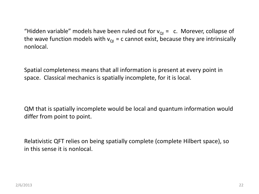"Hidden variable" models have been ruled out for  $v_{\text{o}I} = c$ . Morever, collapse of the wave function models with  $v_{\text{o}I}$  = c cannot exist, because they are intrinsically nonlocal.

Spatial completeness means that all information is present at every point in space. Classical mechanics is spatially incomplete, for it is local.

QM that is spatially incomplete would be local and quantum information would differ from point to point.

Relativistic QFT relies on being spatially complete (complete Hilbert space), so in this sense it is nonlocal.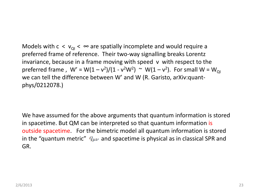Models with  $c < v_{\text{o}} < \infty$  are spatially incomplete and would require a preferred frame of reference. Their two-way signalling breaks Lorentz invariance, because in a frame moving with speed v with respect to the preferred frame ,  $W' = W(1 - v^2)/(1 - v^2W^2) \sim W(1 - v^2)$ . For small  $W = W_{Q}$ we can tell the difference between W' and W (R. Garisto, arXiv:quantphys/0212078.)

We have assumed for the above arguments that quantum information is stored in spacetime. But QM can be interpreted so that quantum information is outside spacetime. For the bimetric model all quantum information is stored in the "quantum metric"  $q_{\mu\nu}$  and spacetime is physical as in classical SPR and GR.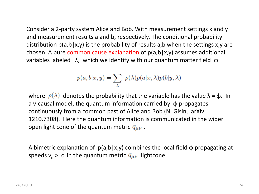Consider a 2-party system Alice and Bob. With measurement settings x and y and measurement results a and b, respectively. The conditional probability distribution  $p(a,b|x,y)$  is the probability of results a,b when the settings x,y are chosen. A pure common cause explanation of  $p(a,b|x,y)$  assumes additional variables labeled λ, which we identify with our quantum matter field φ.

$$
p(a, b|x, y) = \sum_{\lambda} \rho(\lambda) p(a|x, \lambda) p(b|y, \lambda)
$$

where  $\rho(\lambda)$  denotes the probability that the variable has the value  $\lambda = \phi$ . In a v-causal model, the quantum information carried by  $\phi$  propagates continuously from a common past of Alice and Bob (N. Gisin, arXiv: 1210.7308). Here the quantum information is communicated in the wider open light cone of the quantum metric  $q_{\mu\nu}$ .

A bimetric explanation of  $p(a,b|x,y)$  combines the local field  $\phi$  propagating at speeds  $v_c > c$  in the quantum metric  $q_{\mu\nu}$  lightcone.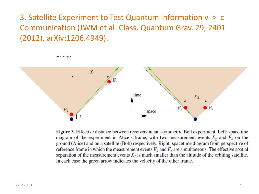# 3. Satellite Experiment to Test Quantum Information v > c Communication (JWM et al. Class. Quantum Grav. 29, 2401 (2012), arXiv:1206.4949).

scumgs.



Figure 3. Effective distance between receivers in an asymmetric Bell experiment. Left: spacetime diagram of the experiment in Alice's frame, with two measurement events  $E_g$  and  $E_s$  on the ground (Alice) and on a satellite (Bob) respectively. Right: spacetime diagram from perspective of reference frame in which the measurement events  $E_g$  and  $E_s$  are simultaneous. The effective spatial separation of the measurement events  $X_2$  is much smaller than the altitude of the orbiting satellite. In each case the green arrow indicates the velocity of the other frame.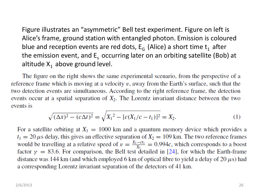Figure illustrates an "asymmetric" Bell test experiment. Figure on left is Alice's frame, ground station with entangled photon. Emission is coloured blue and reception events are red dots,  $E_G$  (Alice) a short time  $t_1$  after the emission event, and  $E<sub>s</sub>$  occurring later on an orbiting satellite (Bob) at altitude  $X_1$  above ground level.

The figure on the right shows the same experimental scenario, from the perspective of a reference frame which is moving at a velocity  $v$ , away from the Earth's surface, such that the two detection events are simultaneous. According to the right reference frame, the detection events occur at a spatial separation of  $X_2$ . The Lorentz invariant distance between the two events is

$$
\sqrt{(\Delta x)^2 - (c\Delta t)^2} = \sqrt{X_1^2 - [c(X_1/c - t_1)]^2} = X_2.
$$
 (1)

For a satellite orbiting at  $X_1 = 1000$  km and a quantum memory device which provides a  $t_1 = 20 \,\mu$ s delay, this gives an effective separation of  $X_2 = 109 \,\text{km}$ . The two reference frames would be travelling at a relative speed of  $v = \frac{X_1 - ct_1}{X_1} = 0.994c$ , which corresponds to a boost factor  $\gamma = 83.6$ . For comparison, the Bell test detailed in [24], for which the Earth-frame distance was 144 km (and which employed 6 km of optical fibre to yield a delay of 20  $\mu$ s) had a corresponding Lorentz invariant separation of the detectors of 41 km.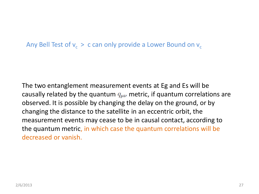Any Bell Test of  $v_{\rm c}$  > c can only provide a Lower Bound on  $v_{\rm c}$ 

The two entanglement measurement events at Eg and Es will be causally related by the quantum  $q_{\mu\nu}$  metric, if quantum correlations are observed. It is possible by changing the delay on the ground, or by changing the distance to the satellite in an eccentric orbit, the measurement events may cease to be in causal contact, according to the quantum metric, in which case the quantum correlations will be decreased or vanish.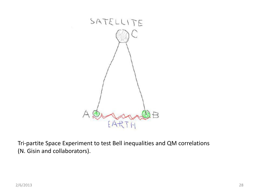

Tri-partite Space Experiment to test Bell inequalities and QM correlations (N. Gisin and collaborators).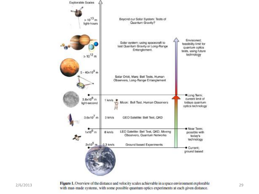



**2/6/2013 Figure 1.** Overview of the distance and velocity scales achievable in a space environment explorable **29**<br>**29** with man-made systems, with some possible quantum optics experiments at each given distance.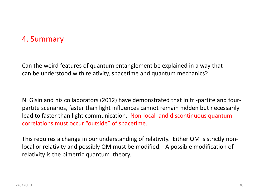# 4. Summary

Can the weird features of quantum entanglement be explained in a way that can be understood with relativity, spacetime and quantum mechanics?

N. Gisin and his collaborators (2012) have demonstrated that in tri-partite and fourpartite scenarios, faster than light influences cannot remain hidden but necessarily lead to faster than light communication. Non-local and discontinuous quantum correlations must occur "outside" of spacetime.

This requires a change in our understanding of relativity. Either QM is strictly nonlocal or relativity and possibly QM must be modified. A possible modification of relativity is the bimetric quantum theory.